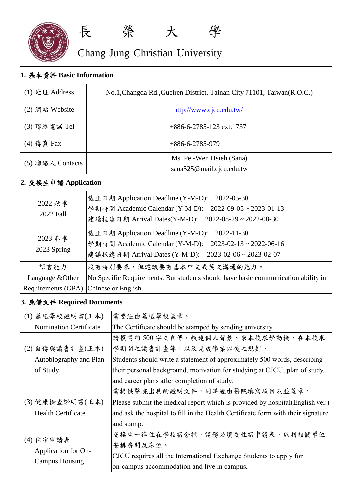

## Chang Jung Christian University

長 榮 大 學

| 1. 基本資料 Basic Information                                 |                                                                                                                                                                                                                 |  |  |
|-----------------------------------------------------------|-----------------------------------------------------------------------------------------------------------------------------------------------------------------------------------------------------------------|--|--|
| (1) 地址 Address                                            | No.1, Changda Rd., Gueiren District, Tainan City 71101, Taiwan (R.O.C.)                                                                                                                                         |  |  |
| (2) 網站 Website                                            | http://www.cjcu.edu.tw/                                                                                                                                                                                         |  |  |
| (3) 聯絡電話 Tel                                              | $+886 - 6 - 2785 - 123$ ext. 1737                                                                                                                                                                               |  |  |
| (4) 傳真 Fax                                                | $+886 - 6 - 2785 - 979$                                                                                                                                                                                         |  |  |
| (5) 聯絡人 Contacts                                          | Ms. Pei-Wen Hsieh (Sana)<br>sana525@mail.cjcu.edu.tw                                                                                                                                                            |  |  |
| 2. 交換生申請 Application                                      |                                                                                                                                                                                                                 |  |  |
| 2022 秋季<br>2022 Fall                                      | 截止日期 Application Deadline (Y-M-D):<br>2022-05-30<br>學期時間 Academic Calendar (Y-M-D):<br>$2022 - 09 - 05 \approx 2023 - 01 - 13$<br>建議抵達日期 Arrival Dates(Y-M-D):<br>$2022 - 08 - 29 \approx 2022 - 08 - 30$       |  |  |
| 2023 春季<br>2023 Spring                                    | 截止日期 Application Deadline (Y-M-D):<br>2022-11-30<br>學期時間 Academic Calendar (Y-M-D):<br>$2023 - 02 - 13 \approx 2022 - 06 - 16$<br>建議抵達日期 Arrival Dates (Y-M-D): 2023-02-06~2023-02-07                           |  |  |
| 語言能力<br>Language & Other                                  | 沒有特別要求,但建議要有基本中文或英文溝通的能力。<br>No Specific Requirements. But students should have basic communication ability in                                                                                                  |  |  |
| Chinese or English.<br>Requirements (GPA)                 |                                                                                                                                                                                                                 |  |  |
| 3. 應備文件 Required Documents                                |                                                                                                                                                                                                                 |  |  |
| (1) 薦送學校證明書(正本)                                           | 需要經由薦送學校蓋章。                                                                                                                                                                                                     |  |  |
| <b>Nomination Certificate</b>                             | The Certificate should be stamped by sending university.                                                                                                                                                        |  |  |
| (2) 自傳與讀書計畫(正本)                                           | 請撰寫約500字之自傳,敘述個人背景、來本校求學動機、在本校求<br>學期間之讀書計畫等,以及完成學業以後之規劃。                                                                                                                                                       |  |  |
| Autobiography and Plan<br>of Study                        | Students should write a statement of approximately 500 words, describing<br>their personal background, motivation for studying at CJCU, plan of study,<br>and career plans after completion of study.           |  |  |
| (3)健康檢查證明書(正本)<br><b>Health Certificate</b>               | 需提供醫院出具的證明文件,同時經由醫院填寫項目表並蓋章。<br>Please submit the medical report which is provided by hospital (English ver.)<br>and ask the hospital to fill in the Health Certificate form with their signature<br>and stamp. |  |  |
| (4) 住宿申請表<br>Application for On-<br><b>Campus Housing</b> | 交換生一律住在學校宿舍裡,請務必填妥住宿申請表,以利相關單位<br>安排房間及床位。<br>CJCU requires all the International Exchange Students to apply for<br>on-campus accommodation and live in campus.                                                 |  |  |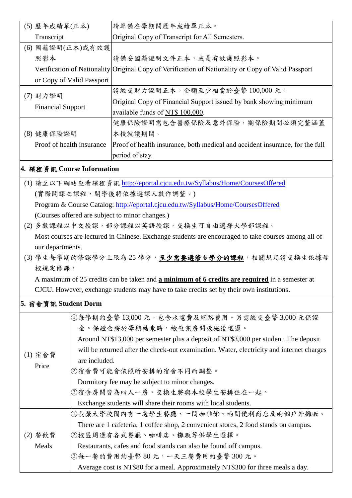|                                                                                          | (5) 歷年成績單(正本)                                                                                        | 請準備在學期間歷年成績單正本。                                                                                     |  |  |
|------------------------------------------------------------------------------------------|------------------------------------------------------------------------------------------------------|-----------------------------------------------------------------------------------------------------|--|--|
|                                                                                          | Transcript                                                                                           | Original Copy of Transcript for All Semesters.                                                      |  |  |
|                                                                                          | (6) 國籍證明(正本)或有效護                                                                                     |                                                                                                     |  |  |
|                                                                                          | 照影本                                                                                                  | 請備妥國籍證明文件正本,或是有效護照影本。                                                                               |  |  |
|                                                                                          |                                                                                                      | Verification of Nationality Original Copy of Verification of Nationality or Copy of Valid Passport  |  |  |
|                                                                                          | or Copy of Valid Passport                                                                            |                                                                                                     |  |  |
| (7) 財力證明                                                                                 |                                                                                                      | 請繳交財力證明正本,金額至少相當於臺幣100,000元。                                                                        |  |  |
|                                                                                          |                                                                                                      | Original Copy of Financial Support issued by bank showing minimum                                   |  |  |
|                                                                                          | <b>Financial Support</b>                                                                             | available funds of NT\$ 100,000.                                                                    |  |  |
|                                                                                          |                                                                                                      | 健康保險證明需包含醫療保險及意外保險,期保險期間必須完整涵蓋                                                                      |  |  |
|                                                                                          | (8) 健康保險證明                                                                                           | 本校就讀期間。                                                                                             |  |  |
|                                                                                          | Proof of health insurance                                                                            | Proof of health insurance, both medical and accident insurance, for the full<br>period of stay.     |  |  |
|                                                                                          |                                                                                                      |                                                                                                     |  |  |
| 4. 課程資訊 Course Information                                                               |                                                                                                      |                                                                                                     |  |  |
|                                                                                          |                                                                                                      | (1) 請至以下網站查看課程資訊 http://eportal.cjcu.edu.tw/Syllabus/Home/CoursesOffered                            |  |  |
|                                                                                          |                                                                                                      | (實際開課之課程,開學後將依據選課人數作調整。)                                                                            |  |  |
|                                                                                          |                                                                                                      | Program & Course Catalog: http://eportal.cjcu.edu.tw/Syllabus/Home/CoursesOffered                   |  |  |
|                                                                                          | (Courses offered are subject to minor changes.)<br>(2) 多數課程以中文授課, 部分課程以英語授課, 交換生可自由選擇大學部課程。          |                                                                                                     |  |  |
|                                                                                          |                                                                                                      |                                                                                                     |  |  |
|                                                                                          |                                                                                                      | Most courses are lectured in Chinese. Exchange students are encouraged to take courses among all of |  |  |
|                                                                                          | our departments.                                                                                     |                                                                                                     |  |  |
|                                                                                          | (3) 學生每學期的修課學分上限為 25 學分, 至少需要選修 6 學分的課程, 相關規定請交換生依據母                                                 |                                                                                                     |  |  |
|                                                                                          | 校規定修課。                                                                                               |                                                                                                     |  |  |
|                                                                                          | A maximum of 25 credits can be taken and <b>a minimum of 6 credits are required</b> in a semester at |                                                                                                     |  |  |
| CJCU. However, exchange students may have to take credits set by their own institutions. |                                                                                                      |                                                                                                     |  |  |
| 5. 宿舍資訊 Student Dorm                                                                     |                                                                                                      |                                                                                                     |  |  |
|                                                                                          |                                                                                                      | ①每學期約臺幣 13,000元,包含水電費及網路費用。另需繳交臺幣 3,000元保證                                                          |  |  |
|                                                                                          |                                                                                                      | 金。保證金將於學期結束時,檢查完房間設施後退還。                                                                            |  |  |
|                                                                                          |                                                                                                      | Around NT\$13,000 per semester plus a deposit of NT\$3,000 per student. The deposit                 |  |  |
|                                                                                          | (1) 宿舍費                                                                                              | will be returned after the check-out examination. Water, electricity and internet charges           |  |  |
|                                                                                          | Price                                                                                                | are included.                                                                                       |  |  |
|                                                                                          |                                                                                                      | ②宿舍費可能會依照所安排的宿舍不同而調整。                                                                               |  |  |
|                                                                                          |                                                                                                      | Dormitory fee may be subject to minor changes.                                                      |  |  |
|                                                                                          |                                                                                                      | ③宿舍房間皆為四人一房,交換生將與本校學生安排住在一起。                                                                        |  |  |
|                                                                                          |                                                                                                      | Exchange students will share their rooms with local students.                                       |  |  |
|                                                                                          |                                                                                                      | ①長榮大學校園內有一處學生餐廳、一間咖啡館、兩間便利商店及兩個戶外攤販。                                                                |  |  |
|                                                                                          |                                                                                                      | There are 1 cafeteria, 1 coffee shop, 2 convenient stores, 2 food stands on campus.                 |  |  |
|                                                                                          | (2) 餐飲費                                                                                              | ②校區周邊有各式餐廳、咖啡店、攤販等供學生選擇。                                                                            |  |  |
|                                                                                          | Meals                                                                                                | Restaurants, cafes and food stands can also be found off campus.                                    |  |  |
|                                                                                          |                                                                                                      | ③每一餐的費用約臺幣 80 元,一天三餐費用約臺幣 300 元。                                                                    |  |  |
|                                                                                          |                                                                                                      | Average cost is NT\$80 for a meal. Approximately NT\$300 for three meals a day.                     |  |  |